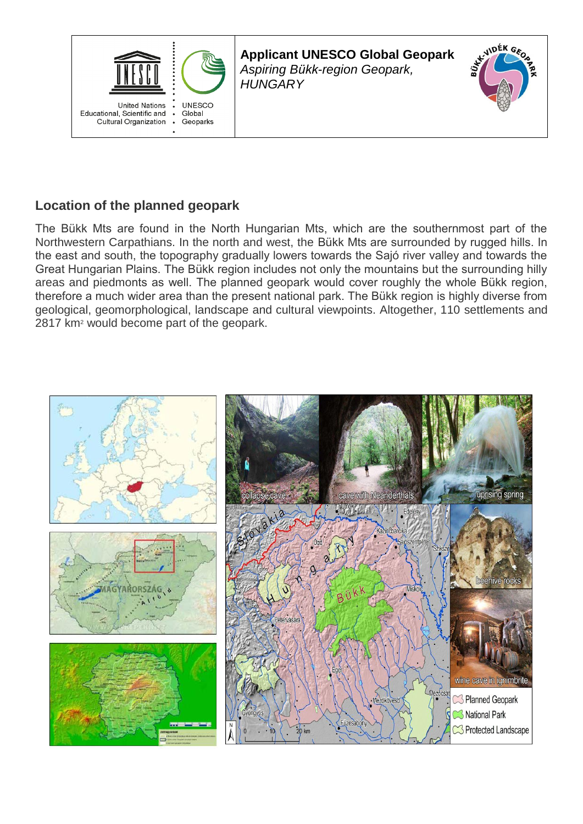

**Applicant UNESCO Global Geopark** *Aspiring Bükk-region Geopark, HUNGARY*



# **Location of the planned geopark**

The Bükk Mts are found in the North Hungarian Mts, which are the southernmost part of the Northwestern Carpathians. In the north and west, the Bükk Mts are surrounded by rugged hills. In the east and south, the topography gradually lowers towards the Sajó river valley and towards the Great Hungarian Plains. The Bükk region includes not only the mountains but the surrounding hilly areas and piedmonts as well. The planned geopark would cover roughly the whole Bükk region, therefore a much wider area than the present national park. The Bükk region is highly diverse from geological, geomorphological, landscape and cultural viewpoints. Altogether, 110 settlements and 2817 km<sup>2</sup> would become part of the geopark.

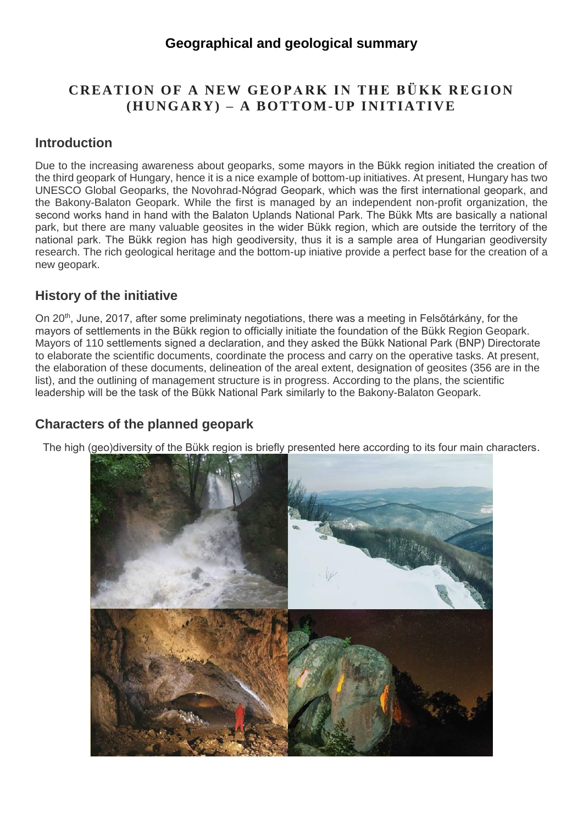### **Geographical and geological summary**

## **CREATION OF A NEW GEOPARK IN THE BÜKK REGION (HUNGARY) – A BOTTOM-UP INITIATIVE**

#### **Introduction**

Due to the increasing awareness about geoparks, some mayors in the Bükk region initiated the creation of the third geopark of Hungary, hence it is a nice example of bottom-up initiatives. At present, Hungary has two UNESCO Global Geoparks, the Novohrad-Nógrad Geopark, which was the first international geopark, and the Bakony-Balaton Geopark. While the first is managed by an independent non-profit organization, the second works hand in hand with the Balaton Uplands National Park. The Bükk Mts are basically a national park, but there are many valuable geosites in the wider Bükk region, which are outside the territory of the national park. The Bükk region has high geodiversity, thus it is a sample area of Hungarian geodiversity research. The rich geological heritage and the bottom-up iniative provide a perfect base for the creation of a new geopark.

#### **History of the initiative**

On 20<sup>th</sup>, June, 2017, after some preliminaty negotiations, there was a meeting in Felsőtárkány, for the mayors of settlements in the Bükk region to officially initiate the foundation of the Bükk Region Geopark. Mayors of 110 settlements signed a declaration, and they asked the Bükk National Park (BNP) Directorate to elaborate the scientific documents, coordinate the process and carry on the operative tasks. At present, the elaboration of these documents, delineation of the areal extent, designation of geosites (356 are in the list), and the outlining of management structure is in progress. According to the plans, the scientific leadership will be the task of the Bükk National Park similarly to the Bakony-Balaton Geopark.

### **Characters of the planned geopark**

The high (geo)diversity of the Bükk region is briefly presented here according to its four main characters.